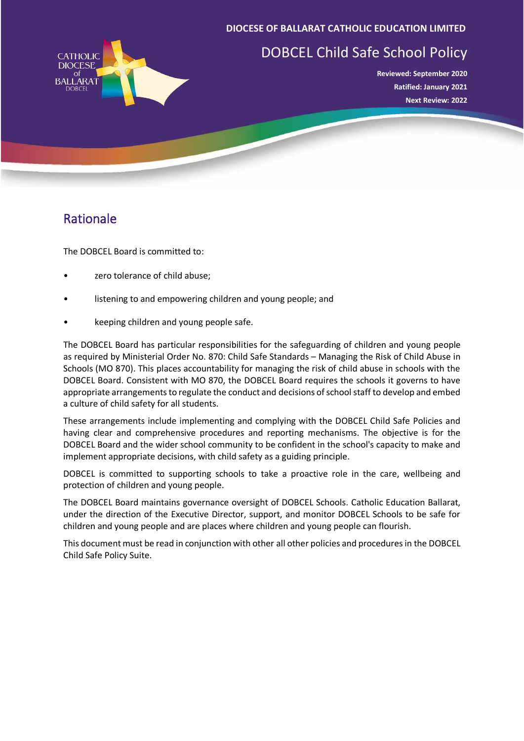#### **DIOCESE OF BALLARAT CATHOLIC EDUCATION LIMITED**



# DOBCEL Child Safe School Policy

**Reviewed: September 2020 Ratified: January 2021 Next Review: 2022**

## Rationale

The DOBCEL Board is committed to:

- zero tolerance of child abuse;
- listening to and empowering children and young people; and
- keeping children and young people safe.

The DOBCEL Board has particular responsibilities for the safeguarding of children and young people as required by Ministerial Order No. 870: Child Safe Standards – Managing the Risk of Child Abuse in Schools (MO 870). This places accountability for managing the risk of child abuse in schools with the DOBCEL Board. Consistent with MO 870, the DOBCEL Board requires the schools it governs to have appropriate arrangements to regulate the conduct and decisions of school staff to develop and embed a culture of child safety for all students.

These arrangements include implementing and complying with the DOBCEL Child Safe Policies and having clear and comprehensive procedures and reporting mechanisms. The objective is for the DOBCEL Board and the wider school community to be confident in the school's capacity to make and implement appropriate decisions, with child safety as a guiding principle.

DOBCEL is committed to supporting schools to take a proactive role in the care, wellbeing and protection of children and young people.

The DOBCEL Board maintains governance oversight of DOBCEL Schools. Catholic Education Ballarat, under the direction of the Executive Director, support, and monitor DOBCEL Schools to be safe for children and young people and are places where children and young people can flourish.

This document must be read in conjunction with other all other policies and procedures in the DOBCEL Child Safe Policy Suite.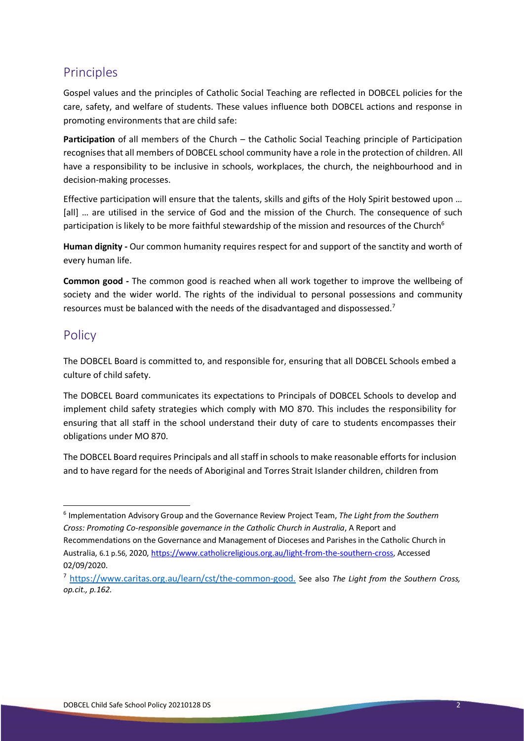# Principles

Gospel values and the principles of Catholic Social Teaching are reflected in DOBCEL policies for the care, safety, and welfare of students. These values influence both DOBCEL actions and response in promoting environments that are child safe:

**Participation** of all members of the Church – the Catholic Social Teaching principle of Participation recognises that all members of DOBCEL school community have a role in the protection of children. All have a responsibility to be inclusive in schools, workplaces, the church, the neighbourhood and in decision-making processes.

Effective participation will ensure that the talents, skills and gifts of the Holy Spirit bestowed upon … [all] … are utilised in the service of God and the mission of the Church. The consequence of such participation is likely to be more faithful stewardship of the mission and resources of the Church<sup>6</sup>

**Human dignity -** Our common humanity requires respect for and support of the sanctity and worth of every human life.

**Common good -** The common good is reached when all work together to improve the wellbeing of society and the wider world. The rights of the individual to personal possessions and community resources must be balanced with the needs of the disadvantaged and dispossessed.<sup>7</sup>

### Policy

The DOBCEL Board is committed to, and responsible for, ensuring that all DOBCEL Schools embed a culture of child safety.

The DOBCEL Board communicates its expectations to Principals of DOBCEL Schools to develop and implement child safety strategies which comply with MO 870. This includes the responsibility for ensuring that all staff in the school understand their duty of care to students encompasses their obligations under MO 870.

The DOBCEL Board requires Principals and all staff in schools to make reasonable efforts for inclusion and to have regard for the needs of Aboriginal and Torres Strait Islander children, children from

<span id="page-1-0"></span><sup>6</sup> Implementation Advisory Group and the Governance Review Project Team, *The Light from the Southern Cross: Promoting Co-responsible governance in the Catholic Church in Australia*, A Report and Recommendations on the Governance and Management of Dioceses and Parishes in the Catholic Church in Australia, 6.1 p.56, 2020[, https://www.catholicreligious.org.au/light-from-the-southern-cross,](https://www.catholicreligious.org.au/light-from-the-southern-cross) Accessed 02/09/2020.

<span id="page-1-1"></span><sup>7</sup> [https://www.caritas.org.au/learn/cst/the-common-good.](https://www.caritas.org.au/learn/cst/the-common-good) See also *The Light from the Southern Cross, op.cit., p.162.*